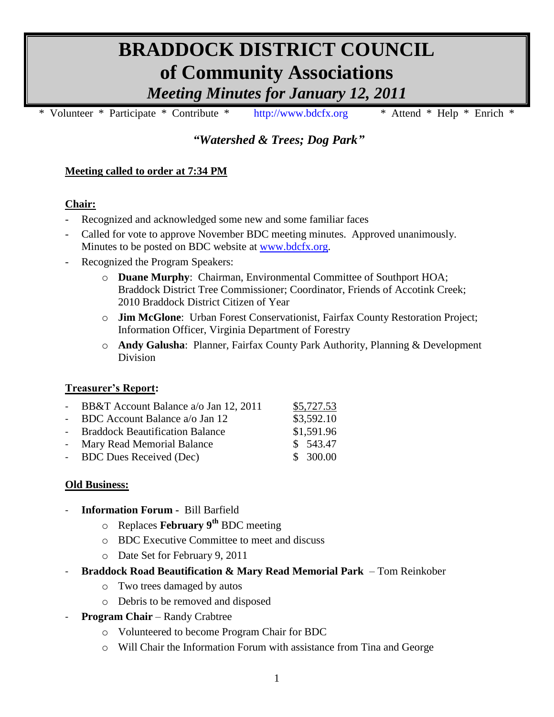# **BRADDOCK DISTRICT COUNCIL of Community Associations** *Meeting Minutes for January 12, 2011*

\* Volunteer \* Participate \* Contribute \* [http://www.bdcfx.org](http://www.bdcfx.org/) \* Attend \* Help \* Enrich \*

*"Watershed & Trees; Dog Park"*

## **Meeting called to order at 7:34 PM**

#### **Chair:**

- Recognized and acknowledged some new and some familiar faces
- Called for vote to approve November BDC meeting minutes. Approved unanimously. Minutes to be posted on BDC website at [www.bdcfx.org.](http://www.bdcfx.org/)
- Recognized the Program Speakers:
	- o **Duane Murphy**: Chairman, Environmental Committee of Southport HOA; Braddock District Tree Commissioner; Coordinator, Friends of Accotink Creek; 2010 Braddock District Citizen of Year
	- o **Jim McGlone**: Urban Forest Conservationist, Fairfax County Restoration Project; Information Officer, Virginia Department of Forestry
	- o **Andy Galusha**: Planner, Fairfax County Park Authority, Planning & Development Division

## **Treasurer's Report:**

| - BB&T Account Balance a/o Jan 12, 2011 | \$5,727.53 |
|-----------------------------------------|------------|
| - BDC Account Balance $a$ Jan 12        | \$3,592.10 |
| - Braddock Beautification Balance       | \$1,591.96 |
| - Mary Read Memorial Balance            | \$543.47   |
| - BDC Dues Received (Dec)               | \$300.00   |

#### **Old Business:**

- **Information Forum -** Bill Barfield
	- o Replaces **February 9th** BDC meeting
	- o BDC Executive Committee to meet and discuss
	- o Date Set for February 9, 2011
- **Braddock Road Beautification & Mary Read Memorial Park**  Tom Reinkober
	- o Two trees damaged by autos
	- o Debris to be removed and disposed
- **Program Chair** Randy Crabtree
	- o Volunteered to become Program Chair for BDC
	- o Will Chair the Information Forum with assistance from Tina and George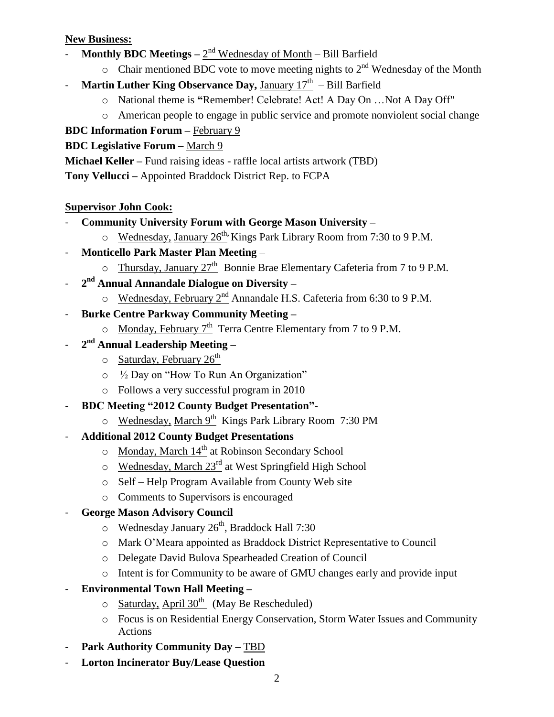#### **New Business:**

- **Monthly BDC Meetings**  $2<sup>nd</sup>$  Wednesday of Month Bill Barfield
	- $\circ$  Chair mentioned BDC vote to move meeting nights to  $2<sup>nd</sup>$  Wednesday of the Month
- Martin Luther King Observance Day, January 17<sup>th</sup> Bill Barfield
	- o National theme is **"**Remember! Celebrate! Act! A Day On …Not A Day Off"
	- o American people to engage in public service and promote nonviolent social change

# **BDC Information Forum –** February 9

# **BDC Legislative Forum –** March 9

**Michael Keller –** Fund raising ideas - raffle local artists artwork (TBD)

**Tony Vellucci –** Appointed Braddock District Rep. to FCPA

## **Supervisor John Cook:**

- **Community University Forum with George Mason University –**
	- o Wednesday, January 26<sup>th,</sup> Kings Park Library Room from 7:30 to 9 P.M.
- **Monticello Park Master Plan Meeting**
	- o Thursday, January 27<sup>th</sup> Bonnie Brae Elementary Cafeteria from 7 to 9 P.M.
- **2 nd Annual Annandale Dialogue on Diversity –**
	- o Wednesday, February 2nd Annandale H.S. Cafeteria from 6:30 to 9 P.M.
- **Burke Centre Parkway Community Meeting** 
	- o Monday, February 7thTerra Centre Elementary from 7 to 9 P.M.
- **2 nd Annual Leadership Meeting –**
	- $\circ$  Saturday, February 26<sup>th</sup>
	- o ½ Day on "How To Run An Organization"
	- o Follows a very successful program in 2010
- **BDC Meeting "2012 County Budget Presentation"**
	- o Wednesday, March 9<sup>th</sup> Kings Park Library Room 7:30 PM
- **Additional 2012 County Budget Presentations**
	- $\circ$  Monday, March 14<sup>th</sup> at Robinson Secondary School
	- $\circ$  Wednesday, March 23<sup>rd</sup> at West Springfield High School
	- o Self Help Program Available from County Web site
	- o Comments to Supervisors is encouraged

# - **George Mason Advisory Council**

- $\circ$  Wednesday January 26<sup>th</sup>, Braddock Hall 7:30
- o Mark O'Meara appointed as Braddock District Representative to Council
- o Delegate David Bulova Spearheaded Creation of Council
- o Intent is for Community to be aware of GMU changes early and provide input
- **Environmental Town Hall Meeting –**
	- o Saturday, April 30th(May Be Rescheduled)
	- o Focus is on Residential Energy Conservation, Storm Water Issues and Community Actions
- Park Authority Community Day TBD
- **Lorton Incinerator Buy/Lease Question**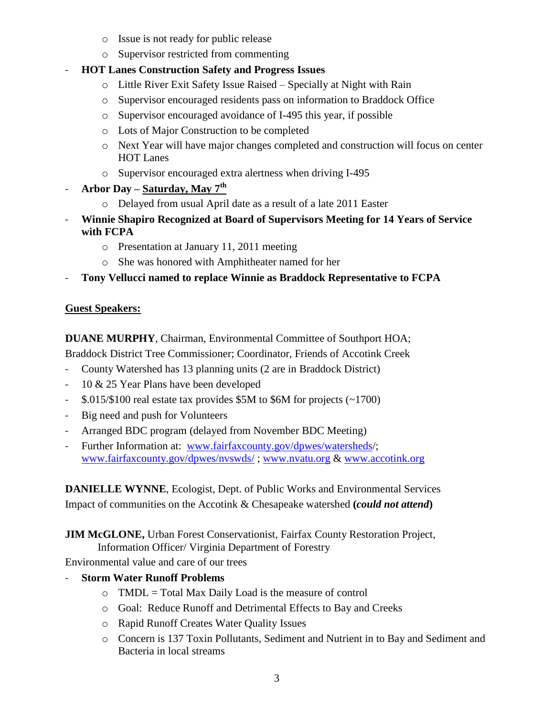- o Issue is not ready for public release
- o Supervisor restricted from commenting
- **HOT Lanes Construction Safety and Progress Issues**
	- o Little River Exit Safety Issue Raised Specially at Night with Rain
	- o Supervisor encouraged residents pass on information to Braddock Office
	- o Supervisor encouraged avoidance of I-495 this year, if possible
	- o Lots of Major Construction to be completed
	- o Next Year will have major changes completed and construction will focus on center HOT Lanes
	- o Supervisor encouraged extra alertness when driving I-495
- **Arbor Day – Saturday, May 7th**
	- o Delayed from usual April date as a result of a late 2011 Easter
- **Winnie Shapiro Recognized at Board of Supervisors Meeting for 14 Years of Service with FCPA**
	- o Presentation at January 11, 2011 meeting
	- o She was honored with Amphitheater named for her
- **Tony Vellucci named to replace Winnie as Braddock Representative to FCPA**

## **Guest Speakers:**

**DUANE MURPHY**, Chairman, Environmental Committee of Southport HOA;

Braddock District Tree Commissioner; Coordinator, Friends of Accotink Creek

- County Watershed has 13 planning units (2 are in Braddock District)
- 10 & 25 Year Plans have been developed
- \$.015/\$100 real estate tax provides \$5M to \$6M for projects (~1700)
- Big need and push for Volunteers
- Arranged BDC program (delayed from November BDC Meeting)
- Further Information at: [www.fairfaxcounty.gov/dpwes/watersheds/](http://www.fairfaxcounty.gov/dpwes/watersheds); [www.fairfaxcounty.gov/dpwes/nvswds/](http://www.fairfaxcounty.gov/dpwes/nvswds/) ; [www.nvatu.org](http://www.nvatu.org/) & [www.accotink.org](http://www.accotink.org/)

**DANIELLE WYNNE**, Ecologist, Dept. of Public Works and Environmental Services Impact of communities on the Accotink & Chesapeake watershed **(***could not attend***)**

**JIM McGLONE,** Urban Forest Conservationist, Fairfax County Restoration Project, Information Officer/ Virginia Department of Forestry

Environmental value and care of our trees

- **Storm Water Runoff Problems**
	- $\circ$  TMDL = Total Max Daily Load is the measure of control
	- o Goal: Reduce Runoff and Detrimental Effects to Bay and Creeks
	- o Rapid Runoff Creates Water Quality Issues
	- o Concern is 137 Toxin Pollutants, Sediment and Nutrient in to Bay and Sediment and Bacteria in local streams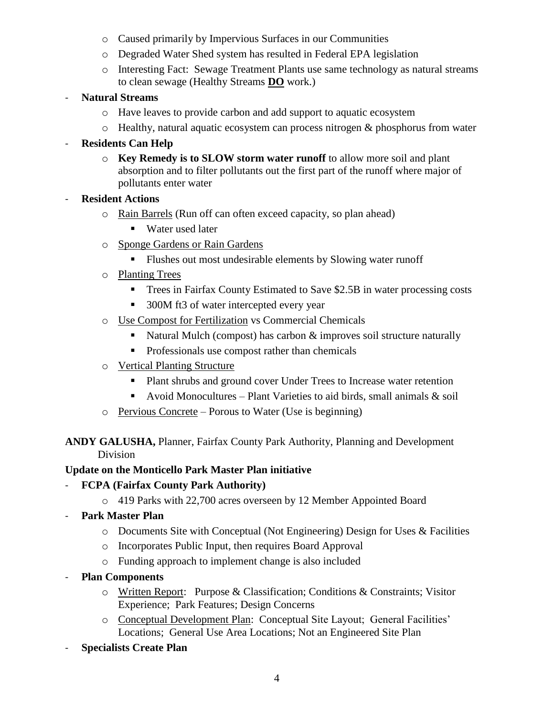- o Caused primarily by Impervious Surfaces in our Communities
- o Degraded Water Shed system has resulted in Federal EPA legislation
- o Interesting Fact: Sewage Treatment Plants use same technology as natural streams to clean sewage (Healthy Streams **DO** work.)
- **Natural Streams**
	- o Have leaves to provide carbon and add support to aquatic ecosystem
	- o Healthy, natural aquatic ecosystem can process nitrogen & phosphorus from water
- **Residents Can Help**
	- o **Key Remedy is to SLOW storm water runoff** to allow more soil and plant absorption and to filter pollutants out the first part of the runoff where major of pollutants enter water
- **Resident Actions**
	- o Rain Barrels (Run off can often exceed capacity, so plan ahead)
		- Water used later
	- o Sponge Gardens or Rain Gardens
		- Flushes out most undesirable elements by Slowing water runoff
	- o Planting Trees
		- Trees in Fairfax County Estimated to Save \$2.5B in water processing costs
		- 300M ft3 of water intercepted every year
	- o Use Compost for Fertilization vs Commercial Chemicals
		- Natural Mulch (compost) has carbon & improves soil structure naturally
		- **Professionals use compost rather than chemicals**
	- o Vertical Planting Structure
		- Plant shrubs and ground cover Under Trees to Increase water retention
		- Avoid Monocultures Plant Varieties to aid birds, small animals  $\&$  soil
	- o Pervious Concrete Porous to Water (Use is beginning)

**ANDY GALUSHA,** Planner, Fairfax County Park Authority, Planning and Development Division

# **Update on the Monticello Park Master Plan initiative**

- **FCPA (Fairfax County Park Authority)**
	- o 419 Parks with 22,700 acres overseen by 12 Member Appointed Board
- **Park Master Plan**
	- o Documents Site with Conceptual (Not Engineering) Design for Uses & Facilities
	- o Incorporates Public Input, then requires Board Approval
	- o Funding approach to implement change is also included
- **Plan Components**
	- o Written Report: Purpose & Classification; Conditions & Constraints; Visitor Experience; Park Features; Design Concerns
	- o Conceptual Development Plan: Conceptual Site Layout; General Facilities' Locations; General Use Area Locations; Not an Engineered Site Plan
- **Specialists Create Plan**